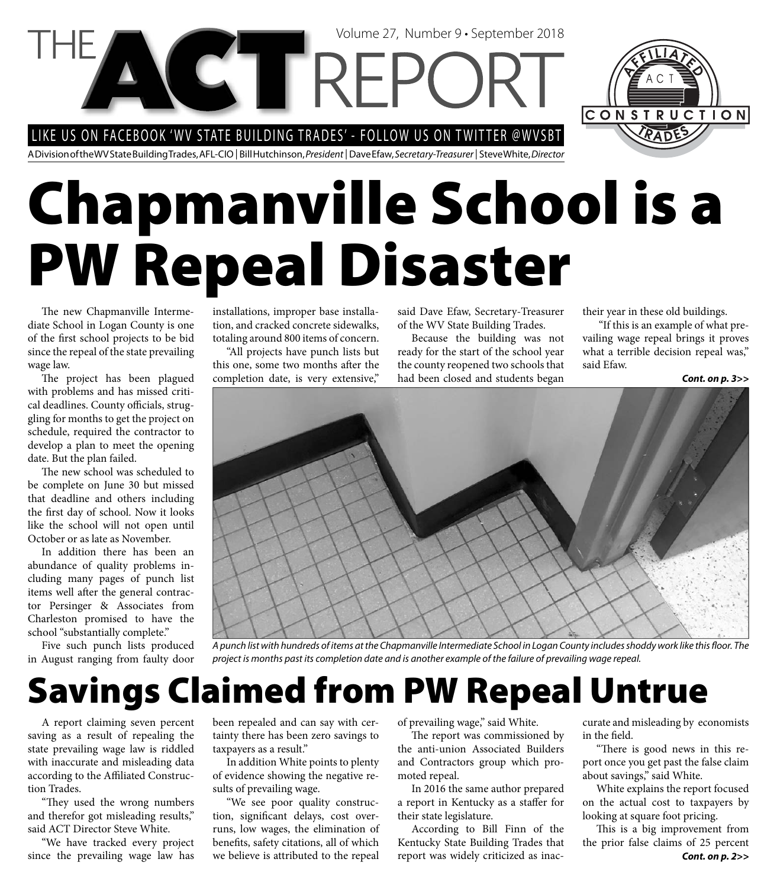LIKE US ON FACEBOOK 'WV STATE BUILDING TRADES' - FOLLOW US ON TWITTER @WVSBT

A Division of the WV State Building Trades, AFL-CIO | Bill Hutchinson, President | Dave Efaw, Secretary-Treasurer | Steve White, Director

# **Chapmanville School is a PW Repeal Disaster**

Volume 27, Number 9 • September 2018

The new Chapmanville Intermediate School in Logan County is one of the first school projects to be bid since the repeal of the state prevailing wage law.

The project has been plagued with problems and has missed critical deadlines. County officials, struggling for months to get the project on schedule, required the contractor to develop a plan to meet the opening date. But the plan failed.

The new school was scheduled to be complete on June 30 but missed that deadline and others including the first day of school. Now it looks like the school will not open until October or as late as November.

In addition there has been an abundance of quality problems including many pages of punch list items well after the general contractor Persinger & Associates from Charleston promised to have the school "substantially complete."

Five such punch lists produced in August ranging from faulty door

installations, improper base installation, and cracked concrete sidewalks, totaling around 800 items of concern.

"All projects have punch lists but this one, some two months after the completion date, is very extensive,"

said Dave Efaw, Secretary-Treasurer of the WV State Building Trades.

Because the building was not ready for the start of the school year the county reopened two schools that had been closed and students began

their year in these old buildings.

 "If this is an example of what prevailing wage repeal brings it proves what a terrible decision repeal was," said Efaw.

CONSTRUCTION

*Cont. on p. 3>>*



A punch list with hundreds of items at the Chapmanville Intermediate School in Logan County includes shoddy work like this floor. The project is months past its completion date and is another example of the failure of prevailing wage repeal.

# **Savings Claimed from PW Repeal Untrue**

A report claiming seven percent saving as a result of repealing the state prevailing wage law is riddled with inaccurate and misleading data according to the Affiliated Construction Trades.

"They used the wrong numbers and therefor got misleading results," said ACT Director Steve White.

"We have tracked every project since the prevailing wage law has been repealed and can say with certainty there has been zero savings to taxpayers as a result."

In addition White points to plenty of evidence showing the negative results of prevailing wage.

"We see poor quality construction, significant delays, cost overruns, low wages, the elimination of benefits, safety citations, all of which we believe is attributed to the repeal of prevailing wage," said White.

The report was commissioned by the anti-union Associated Builders and Contractors group which promoted repeal.

In 2016 the same author prepared a report in Kentucky as a staffer for their state legislature.

According to Bill Finn of the Kentucky State Building Trades that report was widely criticized as inac-

curate and misleading by economists in the field.

"There is good news in this report once you get past the false claim about savings," said White.

White explains the report focused on the actual cost to taxpayers by looking at square foot pricing.

This is a big improvement from the prior false claims of 25 percent *Cont. on p. 2>>*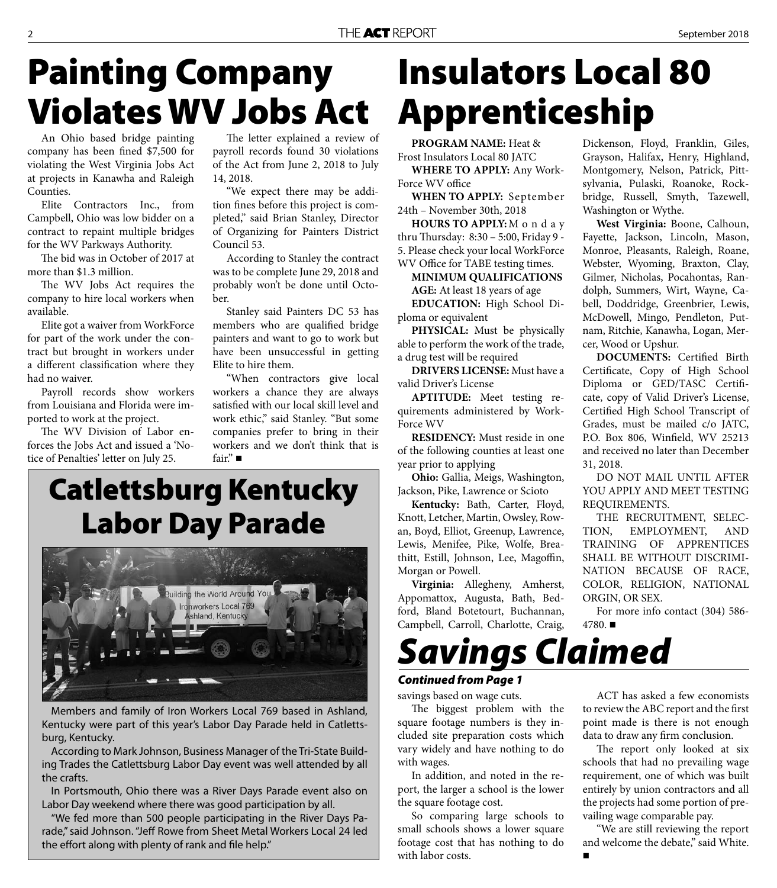### **Painting Company Violates WV Jobs Act**

An Ohio based bridge painting company has been fined \$7,500 for violating the West Virginia Jobs Act at projects in Kanawha and Raleigh Counties.

Elite Contractors Inc., from Campbell, Ohio was low bidder on a contract to repaint multiple bridges for the WV Parkways Authority.

The bid was in October of 2017 at more than \$1.3 million.

The WV Jobs Act requires the company to hire local workers when available.

Elite got a waiver from WorkForce for part of the work under the contract but brought in workers under a different classification where they had no waiver.

Payroll records show workers from Louisiana and Florida were imported to work at the project.

The WV Division of Labor enforces the Jobs Act and issued a 'Notice of Penalties' letter on July 25.

The letter explained a review of payroll records found 30 violations of the Act from June 2, 2018 to July 14, 2018.

"We expect there may be addition fines before this project is completed," said Brian Stanley, Director of Organizing for Painters District Council 53.

According to Stanley the contract was to be complete June 29, 2018 and probably won't be done until October.

Stanley said Painters DC 53 has members who are qualified bridge painters and want to go to work but have been unsuccessful in getting Elite to hire them.

"When contractors give local workers a chance they are always satisfied with our local skill level and work ethic," said Stanley. "But some companies prefer to bring in their workers and we don't think that is fair."

### **Catlettsburg Kentucky Labor Day Parade**



Members and family of Iron Workers Local 769 based in Ashland, Kentucky were part of this year's Labor Day Parade held in Catlettsburg, Kentucky.

According to Mark Johnson, Business Manager of the Tri-State Building Trades the Catlettsburg Labor Day event was well attended by all the crafts.

In Portsmouth, Ohio there was a River Days Parade event also on Labor Day weekend where there was good participation by all.

"We fed more than 500 people participating in the River Days Parade," said Johnson. "Jeff Rowe from Sheet Metal Workers Local 24 led the effort along with plenty of rank and file help."

## **Insulators Local 80 Apprenticeship**

**PROGRAM NAME:** Heat & Frost Insulators Local 80 JATC

**WHERE TO APPLY:** Any Work-Force WV office

**WHEN TO APPLY:** September 24th – November 30th, 2018

**HOURS TO APPLY:** M o n d a y thru Thursday: 8:30 - 5:00, Friday 9 -5. Please check your local WorkForce WV Office for TABE testing times.

**MINIMUM QUALIFICATIONS AGE:** At least 18 years of age **EDUCATION:** High School Di-

ploma or equivalent

**PHYSICAL:** Must be physically able to perform the work of the trade, a drug test will be required

**DRIVERS LICENSE:** Must have a valid Driver's License

**APTITUDE:** Meet testing requirements administered by Work-Force WV

**RESIDENCY:** Must reside in one of the following counties at least one year prior to applying

**Ohio:** Gallia, Meigs, Washington, Jackson, Pike, Lawrence or Scioto

**Kentucky:** Bath, Carter, Floyd, Knott, Letcher, Martin, Owsley, Rowan, Boyd, Elliot, Greenup, Lawrence, Lewis, Menifee, Pike, Wolfe, Breathitt, Estill, Johnson, Lee, Magoffin, Morgan or Powell.

**Virginia:** Allegheny, Amherst, Appomattox, Augusta, Bath, Bedford, Bland Botetourt, Buchannan, Campbell, Carroll, Charlotte, Craig,

Dickenson, Floyd, Franklin, Giles, Grayson, Halifax, Henry, Highland, Montgomery, Nelson, Patrick, Pittsylvania, Pulaski, Roanoke, Rockbridge, Russell, Smyth, Tazewell, Washington or Wythe.

**West Virginia:** Boone, Calhoun, Fayette, Jackson, Lincoln, Mason, Monroe, Pleasants, Raleigh, Roane, Webster, Wyoming, Braxton, Clay, Gilmer, Nicholas, Pocahontas, Randolph, Summers, Wirt, Wayne, Cabell, Doddridge, Greenbrier, Lewis, McDowell, Mingo, Pendleton, Putnam, Ritchie, Kanawha, Logan, Mercer, Wood or Upshur.

**DOCUMENTS:** Certified Birth Certificate, Copy of High School Diploma or GED/TASC Certificate, copy of Valid Driver's License, Certified High School Transcript of Grades, must be mailed c/o JATC, P.O. Box 806, Winfield, WV 25213 and received no later than December 31, 2018.

DO NOT MAIL UNTIL AFTER YOU APPLY AND MEET TESTING REQUIREMENTS.

THE RECRUITMENT, SELEC-TION, EMPLOYMENT, AND TRAINING OF APPRENTICES SHALL BE WITHOUT DISCRIMI-NATION BECAUSE OF RACE, COLOR, RELIGION, NATIONAL ORGIN, OR SEX.

For more info contact (304) 586-  $4780.$ 

### *Savings Claimed*

#### *Continued from Page 1*

savings based on wage cuts. The biggest problem with the square footage numbers is they in-

cluded site preparation costs which vary widely and have nothing to do with wages.

In addition, and noted in the report, the larger a school is the lower the square footage cost.

So comparing large schools to small schools shows a lower square footage cost that has nothing to do with labor costs.

ACT has asked a few economists to review the ABC report and the first point made is there is not enough data to draw any firm conclusion.

The report only looked at six schools that had no prevailing wage requirement, one of which was built entirely by union contractors and all the projects had some portion of prevailing wage comparable pay.

"We are still reviewing the report and welcome the debate," said White.  $\blacksquare$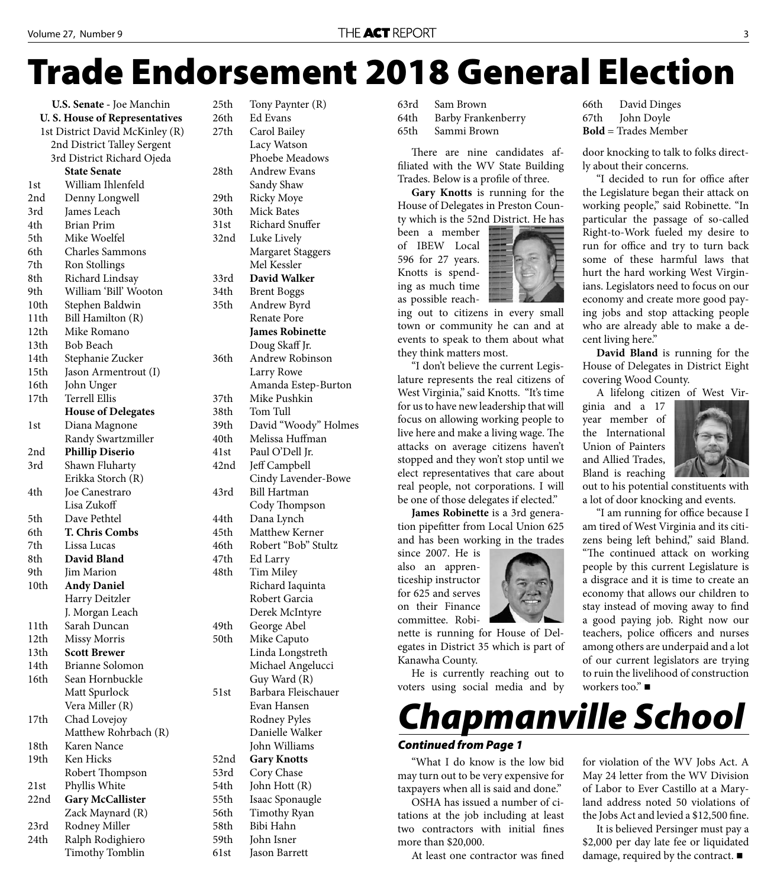# **Trade Endorsement 2018 General Election**

**U.S. Senate -** Joe Manchin **U. S. House of Representatives**  1st District David McKinley (R) 2nd District Talley Sergent 3rd District Richard Ojeda **State Senate** 1st William Ihlenfeld 2nd Denny Longwell 3rd James Leach 4th Brian Prim 5th Mike Woelfel 6th Charles Sammons 7th Ron Stollings 8th Richard Lindsay 9th William 'Bill' Wooton 10th Stephen Baldwin 11th Bill Hamilton (R) 12th Mike Romano 13th Bob Beach 14th Stephanie Zucker 15th Jason Armentrout (I) 16th John Unger 17th Terrell Ellis  **House of Delegates** 1st Diana Magnone Randy Swartzmiller 2nd **Phillip Diserio** 3rd Shawn Fluharty Erikka Storch (R) 4th Joe Canestraro Lisa Zukoff 5th Dave Pethtel 6th **T. Chris Combs** 7th Lissa Lucas 8th **David Bland** 9th Iim Marion 10th **Andy Daniel** Harry Deitzler J. Morgan Leach 11th Sarah Duncan 12th Missy Morris 13th **Scott Brewer** 14th Brianne Solomon 16th Sean Hornbuckle Matt Spurlock Vera Miller (R) 17th Chad Lovejoy Matthew Rohrbach (R) 18th Karen Nance 19th Ken Hicks Robert Thompson 21st Phyllis White 22nd **Gary McCallister** Zack Maynard (R) 23rd Rodney Miller 24th Ralph Rodighiero Timothy Tomblin

25th Tony Paynter (R) 26th Ed Evans 27th Carol Bailey Lacy Watson Phoebe Meadows 28th Andrew Evans Sandy Shaw 29th Ricky Moye 30th Mick Bates 31st Richard Snuffer 32nd Luke Lively Margaret Staggers Mel Kessler 33rd **David Walker** 34th Brent Boggs 35th Andrew Byrd Renate Pore **James Robinette** Doug Skaff Jr. 36th Andrew Robinson Larry Rowe Amanda Estep-Burton 37th Mike Pushkin 38th Tom Tull 39th David "Woody" Holmes 40th Melissa Huffman 41st Paul O'Dell Jr. 42nd Jeff Campbell Cindy Lavender-Bowe 43rd Bill Hartman Cody Thompson 44th Dana Lynch 45th Matthew Kerner 46th Robert "Bob" Stultz 47th Ed Larry 48th Tim Miley Richard Iaquinta Robert Garcia Derek McIntyre 49th George Abel 50th Mike Caputo Linda Longstreth Michael Angelucci Guy Ward (R) 51st Barbara Fleischauer Evan Hansen Rodney Pyles Danielle Walker John Williams 52nd **Gary Knotts** 53rd Cory Chase 54th John Hott (R) 55th Isaac Sponaugle 56th Timothy Ryan 58th Bibi Hahn 59th John Isner 61st Jason Barrett

63rd Sam Brown 64th Barby Frankenberry 65th Sammi Brown

There are nine candidates affiliated with the WV State Building Trades. Below is a profile of three.

**Gary Knotts** is running for the House of Delegates in Preston County which is the 52nd District. He has

been a member of IBEW Local 596 for 27 years. Knotts is spending as much time as possible reach-

ing out to citizens in every small town or community he can and at events to speak to them about what they think matters most.

"I don't believe the current Legislature represents the real citizens of West Virginia," said Knotts. "It's time for us to have new leadership that will focus on allowing working people to live here and make a living wage. The attacks on average citizens haven't stopped and they won't stop until we elect representatives that care about real people, not corporations. I will be one of those delegates if elected."

**James Robinette** is a 3rd generation pipefitter from Local Union 625 and has been working in the trades

since 2007. He is also an apprenticeship instructor for 625 and serves on their Finance committee. Robi-

nette is running for House of Delegates in District 35 which is part of Kanawha County.

He is currently reaching out to voters using social media and by 66th David Dinges 67th John Doyle **Bold** = Trades Member

door knocking to talk to folks directly about their concerns.

"I decided to run for office after the Legislature began their attack on working people," said Robinette. "In particular the passage of so-called Right-to-Work fueled my desire to run for office and try to turn back some of these harmful laws that hurt the hard working West Virginians. Legislators need to focus on our economy and create more good paying jobs and stop attacking people who are already able to make a decent living here."

**David Bland** is running for the House of Delegates in District Eight covering Wood County.

A lifelong citizen of West Vir-

ginia and a 17 year member of the International Union of Painters and Allied Trades, Bland is reaching



out to his potential constituents with a lot of door knocking and events.

"I am running for office because I am tired of West Virginia and its citizens being left behind," said Bland. "The continued attack on working people by this current Legislature is a disgrace and it is time to create an economy that allows our children to stay instead of moving away to find a good paying job. Right now our teachers, police officers and nurses among others are underpaid and a lot of our current legislators are trying to ruin the livelihood of construction workers too." ■



#### *Continued from Page 1*

"What I do know is the low bid may turn out to be very expensive for taxpayers when all is said and done."

OSHA has issued a number of citations at the job including at least two contractors with initial fines more than \$20,000.

At least one contractor was fined

for violation of the WV Jobs Act. A May 24 letter from the WV Division of Labor to Ever Castillo at a Maryland address noted 50 violations of the Jobs Act and levied a \$12,500 fine.

It is believed Persinger must pay a \$2,000 per day late fee or liquidated damage, required by the contract. ■